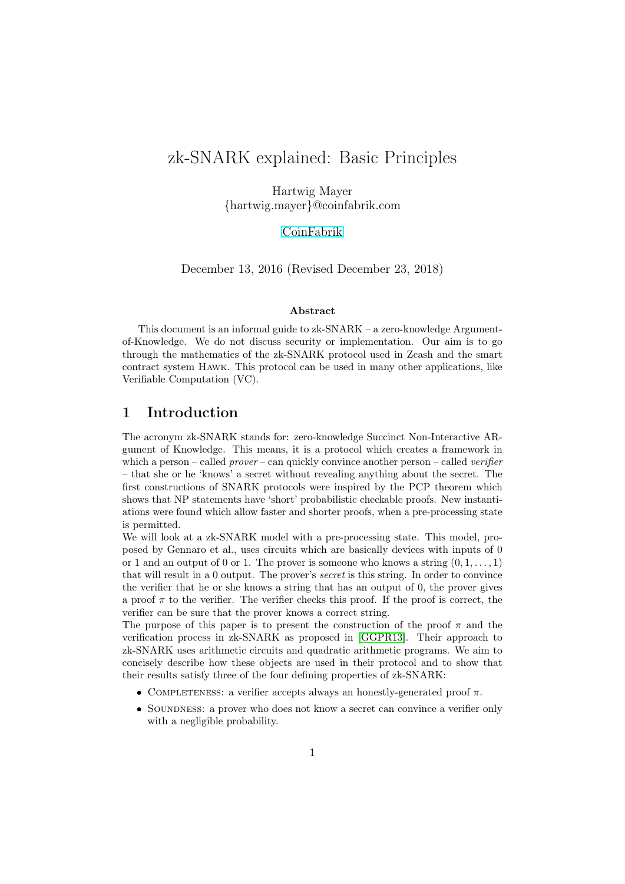# zk-SNARK explained: Basic Principles

Hartwig Mayer {hartwig.mayer}@coinfabrik.com

[CoinFabrik](http://www.coinfabrik.com/)

December 13, 2016 (Revised December 23, 2018)

### Abstract

This document is an informal guide to  $z_k$ -SNARK – a zero-knowledge Argumentof-Knowledge. We do not discuss security or implementation. Our aim is to go through the mathematics of the zk-SNARK protocol used in Zcash and the smart contract system Hawk. This protocol can be used in many other applications, like Verifiable Computation (VC).

## 1 Introduction

The acronym zk-SNARK stands for: zero-knowledge Succinct Non-Interactive ARgument of Knowledge. This means, it is a protocol which creates a framework in which a person – called *prover* – can quickly convince another person – called *verifier* – that she or he 'knows' a secret without revealing anything about the secret. The first constructions of SNARK protocols were inspired by the PCP theorem which shows that NP statements have 'short' probabilistic checkable proofs. New instantiations were found which allow faster and shorter proofs, when a pre-processing state is permitted.

We will look at a zk-SNARK model with a pre-processing state. This model, proposed by Gennaro et al., uses circuits which are basically devices with inputs of 0 or 1 and an output of 0 or 1. The prover is someone who knows a string  $(0, 1, \ldots, 1)$ that will result in a 0 output. The prover's secret is this string. In order to convince the verifier that he or she knows a string that has an output of 0, the prover gives a proof  $\pi$  to the verifier. The verifier checks this proof. If the proof is correct, the verifier can be sure that the prover knows a correct string.

The purpose of this paper is to present the construction of the proof  $\pi$  and the verification process in zk-SNARK as proposed in [\[GGPR13\]](#page-7-0). Their approach to zk-SNARK uses arithmetic circuits and quadratic arithmetic programs. We aim to concisely describe how these objects are used in their protocol and to show that their results satisfy three of the four defining properties of zk-SNARK:

- COMPLETENESS: a verifier accepts always an honestly-generated proof  $\pi$ .
- SOUNDNESS: a prover who does not know a secret can convince a verifier only with a negligible probability.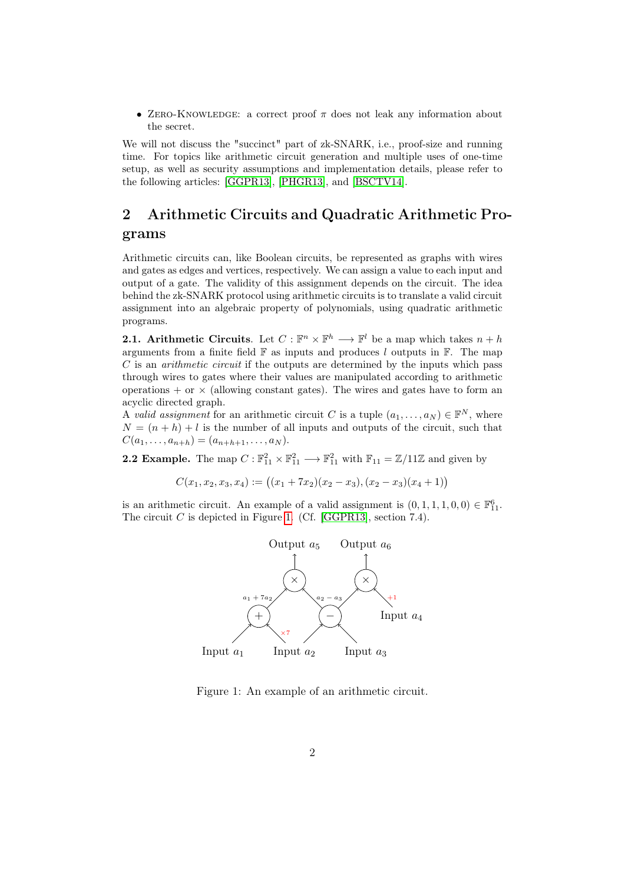• ZERO-KNOWLEDGE: a correct proof  $\pi$  does not leak any information about the secret.

We will not discuss the "succinct" part of zk-SNARK, i.e., proof-size and running time. For topics like arithmetic circuit generation and multiple uses of one-time setup, as well as security assumptions and implementation details, please refer to the following articles: [\[GGPR13\]](#page-7-0), [\[PHGR13\]](#page-7-1), and [\[BSCTV14\]](#page-7-2).

## 2 Arithmetic Circuits and Quadratic Arithmetic Programs

Arithmetic circuits can, like Boolean circuits, be represented as graphs with wires and gates as edges and vertices, respectively. We can assign a value to each input and output of a gate. The validity of this assignment depends on the circuit. The idea behind the zk-SNARK protocol using arithmetic circuits is to translate a valid circuit assignment into an algebraic property of polynomials, using quadratic arithmetic programs.

**2.1.** Arithmetic Circuits. Let  $C : \mathbb{F}^n \times \mathbb{F}^h \longrightarrow \mathbb{F}^l$  be a map which takes  $n + h$ arguments from a finite field  $\mathbb F$  as inputs and produces l outputs in  $\mathbb F$ . The map C is an arithmetic circuit if the outputs are determined by the inputs which pass through wires to gates where their values are manipulated according to arithmetic operations  $+$  or  $\times$  (allowing constant gates). The wires and gates have to form an acyclic directed graph.

A valid assignment for an arithmetic circuit C is a tuple  $(a_1, \ldots, a_N) \in \mathbb{F}^N$ , where  $N = (n + h) + l$  is the number of all inputs and outputs of the circuit, such that  $C(a_1, \ldots, a_{n+h}) = (a_{n+h+1}, \ldots, a_N).$ 

<span id="page-1-1"></span>**2.2 Example.** The map  $C : \mathbb{F}_{11}^2 \times \mathbb{F}_{11}^2 \longrightarrow \mathbb{F}_{11}^2$  with  $\mathbb{F}_{11} = \mathbb{Z}/11\mathbb{Z}$  and given by

 $C(x_1, x_2, x_3, x_4) := ((x_1 + 7x_2)(x_2 - x_3), (x_2 - x_3)(x_4 + 1))$ 

is an arithmetic circuit. An example of a valid assignment is  $(0, 1, 1, 1, 0, 0) \in \mathbb{F}_{11}^6$ . The circuit C is depicted in Figure [1.](#page-1-0) (Cf. [\[GGPR13\]](#page-7-0), section 7.4).



<span id="page-1-0"></span>Figure 1: An example of an arithmetic circuit.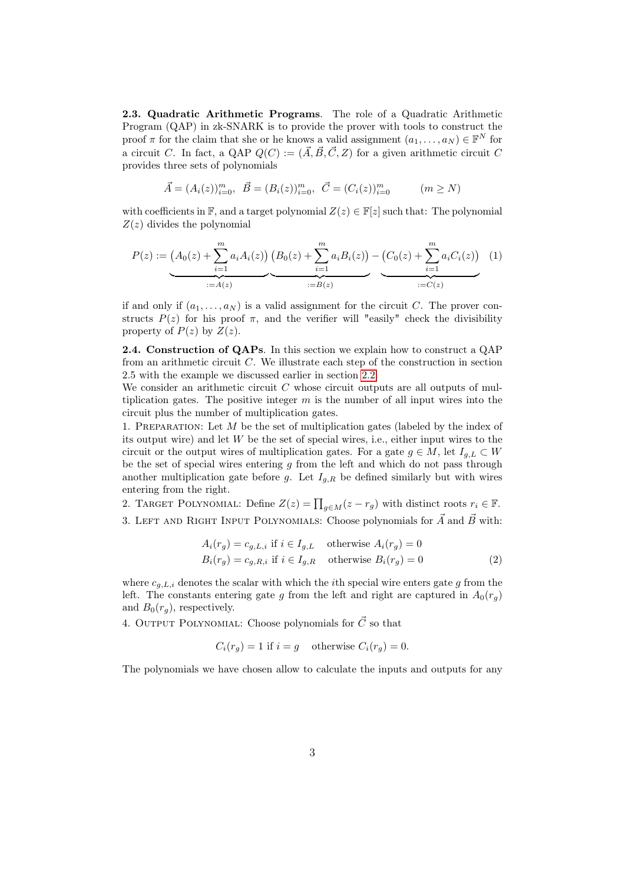2.3. Quadratic Arithmetic Programs. The role of a Quadratic Arithmetic Program (QAP) in zk-SNARK is to provide the prover with tools to construct the proof  $\pi$  for the claim that she or he knows a valid assignment  $(a_1, \ldots, a_N) \in \mathbb{F}^N$  for a circuit C. In fact, a QAP  $Q(C) := (\vec{A}, \vec{B}, \vec{C}, Z)$  for a given arithmetic circuit C provides three sets of polynomials

$$
\vec{A} = (A_i(z))_{i=0}^m, \ \vec{B} = (B_i(z))_{i=0}^m, \ \vec{C} = (C_i(z))_{i=0}^m \qquad (m \ge N)
$$

with coefficients in F, and a target polynomial  $Z(z) \in F[z]$  such that: The polynomial  $Z(z)$  divides the polynomial

$$
P(z) := (A_0(z) + \sum_{i=1}^m a_i A_i(z)) (B_0(z) + \sum_{i=1}^m a_i B_i(z)) - (C_0(z) + \sum_{i=1}^m a_i C_i(z)) (1)
$$
  
 :=  $A(z)$   $\xrightarrow{\qquad \qquad}$   $\xrightarrow{\qquad \qquad}$   $\xrightarrow{\qquad \qquad}$   $\xrightarrow{\qquad \qquad}$   $\xrightarrow{\qquad \qquad}$   $\xrightarrow{\qquad \qquad}$   $\xrightarrow{\qquad \qquad}$   $\xrightarrow{\qquad \qquad}$   $\xrightarrow{\qquad \qquad}$   $\xrightarrow{\qquad \qquad}$   $\xrightarrow{\qquad \qquad}$   $\xrightarrow{\qquad \qquad}$   $\xrightarrow{\qquad \qquad}$   $\xrightarrow{\qquad \qquad}$   $\xrightarrow{\qquad \qquad}$   $\xrightarrow{\qquad \qquad}$   $\xrightarrow{\qquad \qquad}$   $\xrightarrow{\qquad \qquad}$   $\xrightarrow{\qquad \qquad}$   $\xrightarrow{\qquad \qquad}$   $\xrightarrow{\qquad \qquad}$   $\xrightarrow{\qquad \qquad}$   $\xrightarrow{\qquad \qquad}$   $\xrightarrow{\qquad \qquad}$   $\xrightarrow{\qquad \qquad}$   $\xrightarrow{\qquad \qquad}$   $\xrightarrow{\qquad \qquad}$   $\xrightarrow{\qquad \qquad}$   $\xrightarrow{\qquad \qquad}$   $\xrightarrow{\qquad \qquad}$   $\xrightarrow{\qquad \qquad}$   $\xrightarrow{\qquad \qquad}$   $\xrightarrow{\qquad \qquad}$   $\xrightarrow{\qquad \qquad}$   $\xrightarrow{\qquad \qquad}$   $\xrightarrow{\qquad \qquad}$   $\xrightarrow{\qquad \qquad}$   $\xrightarrow{\qquad \qquad}$   $\xrightarrow{\qquad \qquad}$   $\xrightarrow{\qquad \qquad}$   $\xrightarrow{\qquad \qquad}$   $\xrightarrow{\qquad \qquad}$   $\xrightarrow{\qquad \qquad}$   $\xrightarrow{\qquad \qquad}$   $\xrightarrow{\qquad \qquad}$   $\xrightarrow{\qquad \qquad}$   $\xrightarrow{\qquad \qquad}$   $\xrightarrow{\qquad \qquad}$  <

if and only if  $(a_1, \ldots, a_N)$  is a valid assignment for the circuit C. The prover constructs  $P(z)$  for his proof  $\pi$ , and the verifier will "easily" check the divisibility property of  $P(z)$  by  $Z(z)$ .

2.4. Construction of QAPs. In this section we explain how to construct a QAP from an arithmetic circuit C. We illustrate each step of the construction in section 2.5 with the example we discussed earlier in section [2.2.](#page-1-1)

We consider an arithmetic circuit  $C$  whose circuit outputs are all outputs of multiplication gates. The positive integer  $m$  is the number of all input wires into the circuit plus the number of multiplication gates.

1. PREPARATION: Let  $M$  be the set of multiplication gates (labeled by the index of its output wire) and let  $W$  be the set of special wires, i.e., either input wires to the circuit or the output wires of multiplication gates. For a gate  $g \in M$ , let  $I_{g,L} \subset W$ be the set of special wires entering  $g$  from the left and which do not pass through another multiplication gate before g. Let  $I_{q,R}$  be defined similarly but with wires entering from the right.

2. TARGET POLYNOMIAL: Define  $Z(z) = \prod_{g \in M} (z - r_g)$  with distinct roots  $r_i \in \mathbb{F}$ .

3. LEFT AND RIGHT INPUT POLYNOMIALS: Choose polynomials for  $\vec{A}$  and  $\vec{B}$  with:

<span id="page-2-0"></span>
$$
A_i(r_g) = c_{g,L,i} \text{ if } i \in I_{g,L} \text{ otherwise } A_i(r_g) = 0
$$
  

$$
B_i(r_g) = c_{g,R,i} \text{ if } i \in I_{g,R} \text{ otherwise } B_i(r_g) = 0
$$
 (2)

where  $c_{q,L,i}$  denotes the scalar with which the *i*th special wire enters gate q from the left. The constants entering gate g from the left and right are captured in  $A_0(r_a)$ and  $B_0(r_q)$ , respectively.

4. OUTPUT POLYNOMIAL: Choose polynomials for  $\vec{C}$  so that

$$
C_i(r_g) = 1
$$
 if  $i = g$  otherwise  $C_i(r_g) = 0$ .

The polynomials we have chosen allow to calculate the inputs and outputs for any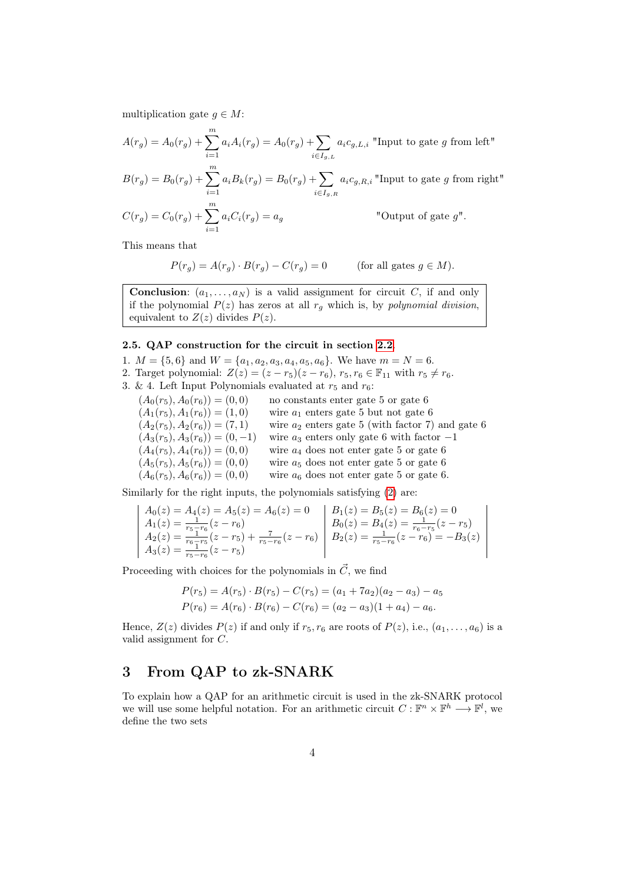multiplication gate  $q \in M$ :

 $\overline{i=1}$ 

$$
A(r_g) = A_0(r_g) + \sum_{i=1}^m a_i A_i(r_g) = A_0(r_g) + \sum_{i \in I_{g,L}} a_i c_{g,L,i}
$$
"Input to gate *g* from left"  

$$
B(r_g) = B_0(r_g) + \sum_{i=1}^m a_i B_k(r_g) = B_0(r_g) + \sum_{i \in I_{g,R}} a_i c_{g,R,i}
$$
"Input to gate *g* from right"  

$$
C(r_g) = C_0(r_g) + \sum_{i=1}^m a_i C_i(r_g) = a_g
$$
"Output of gate *g*".

This means that

$$
P(r_g) = A(r_g) \cdot B(r_g) - C(r_g) = 0 \quad \text{(for all gates } g \in M).
$$

**Conclusion:**  $(a_1, \ldots, a_N)$  is a valid assignment for circuit C, if and only if the polynomial  $P(z)$  has zeros at all  $r_q$  which is, by polynomial division, equivalent to  $Z(z)$  divides  $P(z)$ .

#### 2.5. QAP construction for the circuit in section [2.2](#page-1-1).

- 1.  $M = \{5, 6\}$  and  $W = \{a_1, a_2, a_3, a_4, a_5, a_6\}$ . We have  $m = N = 6$ . 2. Target polynomial:  $Z(z) = (z - r_5)(z - r_6)$ ,  $r_5, r_6 \in \mathbb{F}_{11}$  with  $r_5 \neq r_6$ .
- 3. & 4. Left Input Polynomials evaluated at  $r_5$  and  $r_6$ :

 $(A_0(r_5), A_0(r_6)) = (0, 0)$  no constants enter gate 5 or gate 6  $(A_1(r_5), A_1(r_6)) = (1, 0)$  wire  $a_1$  enters gate 5 but not gate 6  $(A_2(r_5), A_2(r_6)) = (7, 1)$  wire  $a_2$  enters gate 5 (with factor 7) and gate 6  $(A_3(r_5), A_3(r_6)) = (0, -1)$  wire  $a_3$  enters only gate 6 with factor  $-1$  $(A_4(r_5), A_4(r_6)) = (0, 0)$  wire  $a_4$  does not enter gate 5 or gate 6  $(A_5(r_5), A_5(r_6)) = (0, 0)$  wire  $a_5$  does not enter gate 5 or gate 6  $(A_6(r_5), A_6(r_6)) = (0, 0)$  wire  $a_6$  does not enter gate 5 or gate 6.

Similarly for the right inputs, the polynomials satisfying [\(2\)](#page-2-0) are:

$$
\begin{vmatrix}\nA_0(z) = A_4(z) = A_5(z) = A_6(z) = 0 \\
A_1(z) = \frac{1}{r_5 - r_6}(z - r_6) \\
A_2(z) = \frac{1}{r_5 - r_6}(z - r_5) + \frac{7}{r_5 - r_6}(z - r_6)\n\end{vmatrix}\n\begin{vmatrix}\nB_1(z) = B_5(z) = B_6(z) = 0 \\
B_0(z) = B_4(z) = \frac{1}{r_6 - r_5}(z - r_5) \\
B_2(z) = \frac{1}{r_5 - r_6}(z - r_6) = -B_3(z)\n\end{vmatrix}
$$

Proceeding with choices for the polynomials in  $\vec{C}$ , we find

$$
P(r_5) = A(r_5) \cdot B(r_5) - C(r_5) = (a_1 + 7a_2)(a_2 - a_3) - a_5
$$
  
\n
$$
P(r_6) = A(r_6) \cdot B(r_6) - C(r_6) = (a_2 - a_3)(1 + a_4) - a_6.
$$

Hence,  $Z(z)$  divides  $P(z)$  if and only if  $r_5, r_6$  are roots of  $P(z)$ , i.e.,  $(a_1, \ldots, a_6)$  is a valid assignment for C.

## 3 From QAP to zk-SNARK

To explain how a QAP for an arithmetic circuit is used in the zk-SNARK protocol we will use some helpful notation. For an arithmetic circuit  $C: \mathbb{F}^n \times \mathbb{F}^h \longrightarrow \mathbb{F}^l$ , we define the two sets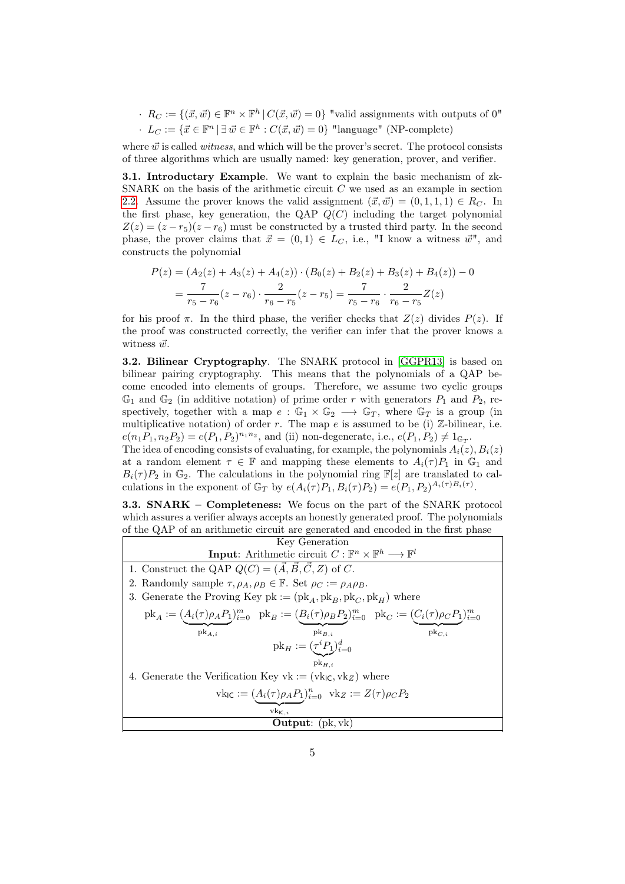$R_C := \{(\vec{x}, \vec{w}) \in \mathbb{F}^n \times \mathbb{F}^h \mid C(\vec{x}, \vec{w}) = 0\}$  "valid assignments with outputs of 0"  $\cdot L_C := \{ \vec{x} \in \mathbb{F}^n \mid \exists \vec{w} \in \mathbb{F}^h : C(\vec{x}, \vec{w}) = 0 \}$  "language" (NP-complete)

where  $\vec{w}$  is called *witness*, and which will be the prover's secret. The protocol consists of three algorithms which are usually named: key generation, prover, and verifier.

3.1. Introductary Example. We want to explain the basic mechanism of zk-SNARK on the basis of the arithmetic circuit  $C$  we used as an example in section [2.2.](#page-1-1) Assume the prover knows the valid assignment  $(\vec{x}, \vec{w}) = (0, 1, 1, 1) \in R_C$ . In the first phase, key generation, the QAP  $Q(C)$  including the target polynomial  $Z(z) = (z - r_5)(z - r_6)$  must be constructed by a trusted third party. In the second phase, the prover claims that  $\vec{x} = (0, 1) \in L_C$ , i.e., "I know a witness  $\vec{w}$ ", and constructs the polynomial

$$
P(z) = (A_2(z) + A_3(z) + A_4(z)) \cdot (B_0(z) + B_2(z) + B_3(z) + B_4(z)) - 0
$$
  
=  $\frac{7}{r_5 - r_6}(z - r_6) \cdot \frac{2}{r_6 - r_5}(z - r_5) = \frac{7}{r_5 - r_6} \cdot \frac{2}{r_6 - r_5} Z(z)$ 

for his proof  $\pi$ . In the third phase, the verifier checks that  $Z(z)$  divides  $P(z)$ . If the proof was constructed correctly, the verifier can infer that the prover knows a witness  $\vec{w}$ .

3.2. Bilinear Cryptography. The SNARK protocol in [\[GGPR13\]](#page-7-0) is based on bilinear pairing cryptography. This means that the polynomials of a QAP become encoded into elements of groups. Therefore, we assume two cyclic groups  $\mathbb{G}_1$  and  $\mathbb{G}_2$  (in additive notation) of prime order r with generators  $P_1$  and  $P_2$ , respectively, together with a map  $e : \mathbb{G}_1 \times \mathbb{G}_2 \longrightarrow \mathbb{G}_T$ , where  $\mathbb{G}_T$  is a group (in multiplicative notation) of order r. The map e is assumed to be (i) Z-bilinear, i.e.  $e(n_1P_1, n_2P_2) = e(P_1, P_2)^{n_1n_2}$ , and (ii) non-degenerate, i.e.,  $e(P_1, P_2) \neq 1_{\mathbb{G}_T}$ .

The idea of encoding consists of evaluating, for example, the polynomials  $A_i(z)$ ,  $B_i(z)$ at a random element  $\tau \in \mathbb{F}$  and mapping these elements to  $A_i(\tau)P_1$  in  $\mathbb{G}_1$  and  $B_i(\tau)P_2$  in  $\mathbb{G}_2$ . The calculations in the polynomial ring  $\mathbb{F}[z]$  are translated to calculations in the exponent of  $\mathbb{G}_T$  by  $e(A_i(\tau)P_1, B_i(\tau)P_2) = e(P_1, P_2)^{A_i(\tau)B_i(\tau)}$ .

3.3. SNARK – Completeness: We focus on the part of the SNARK protocol which assures a verifier always accepts an honestly generated proof. The polynomials of the QAP of an arithmetic circuit are generated and encoded in the first phase

| Key Generation                                                                                                          |  |  |
|-------------------------------------------------------------------------------------------------------------------------|--|--|
| <b>Input:</b> Arithmetic circuit $C : \mathbb{F}^n \times \mathbb{F}^h \longrightarrow \mathbb{F}^l$                    |  |  |
| 1. Construct the QAP $Q(C) = (\vec{A}, \vec{B}, \vec{C}, Z)$ of C.                                                      |  |  |
| 2. Randomly sample $\tau$ , $\rho_A$ , $\rho_B \in \mathbb{F}$ . Set $\rho_C := \rho_A \rho_B$ .                        |  |  |
| 3. Generate the Proving Key pk := $(\text{pk}_A, \text{pk}_B, \text{pk}_C, \text{pk}_H)$ where                          |  |  |
| $pk_A := (A_i(\tau)\rho_A P_1)_{i=0}^m$ $pk_B := (B_i(\tau)\rho_B P_2)_{i=0}^m$ $pk_C := (C_i(\tau)\rho_C P_1)_{i=0}^m$ |  |  |
| $pk_{B,i}$<br>$\operatorname{pk}_{C,i}$<br>$pk_{A,i}$                                                                   |  |  |
| $pk_H := (\tau^i P_1)_{i=0}^d$                                                                                          |  |  |
| $pk_{H,i}$                                                                                                              |  |  |
| 4. Generate the Verification Key vk := $(\text{vk}_{\text{IC}}, \text{vk}_{Z})$ where                                   |  |  |
| $\mathrm{vk}_{\mathsf{IC}} := (A_i(\tau) \rho_A P_1)_{i=0}^n \ \ \mathrm{vk}_Z := Z(\tau) \rho_C P_2$                   |  |  |
| $vk_{IC,i}$                                                                                                             |  |  |
| <b>Output:</b> $(\text{pk}, \text{vk})$                                                                                 |  |  |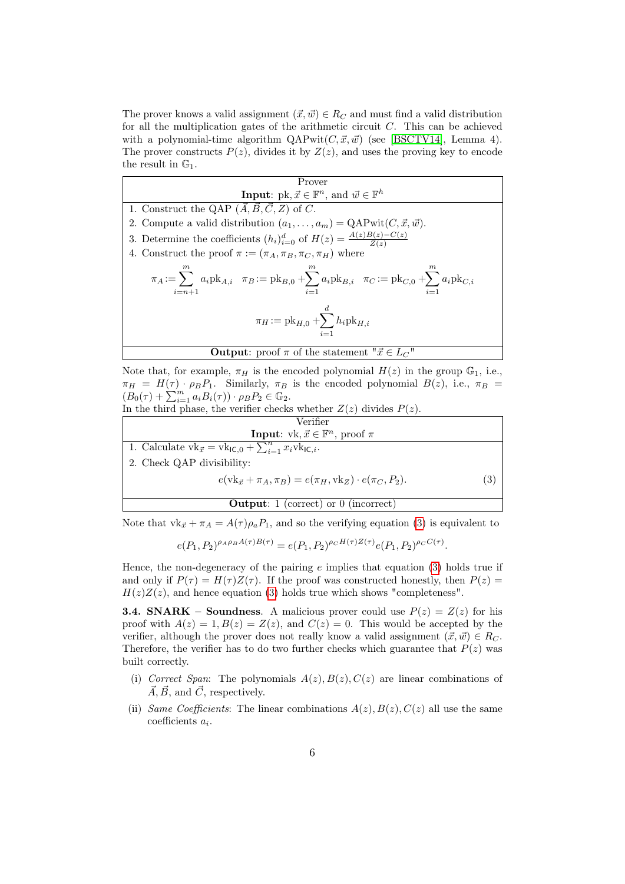The prover knows a valid assignment  $(\vec{x}, \vec{w}) \in R_C$  and must find a valid distribution for all the multiplication gates of the arithmetic circuit  $C$ . This can be achieved with a polynomial-time algorithm  $QAPwit(C, \vec{x}, \vec{w})$  (see [\[BSCTV14\]](#page-7-2), Lemma 4). The prover constructs  $P(z)$ , divides it by  $Z(z)$ , and uses the proving key to encode the result in  $\mathbb{G}_1$ .

| Prover                                                                                                                                                                                                                 |  |  |
|------------------------------------------------------------------------------------------------------------------------------------------------------------------------------------------------------------------------|--|--|
| <b>Input:</b> pk, $\vec{x} \in \mathbb{F}^n$ , and $\vec{w} \in \mathbb{F}^h$                                                                                                                                          |  |  |
| 1. Construct the QAP $(\vec{A}, \vec{B}, \vec{C}, \vec{Z})$ of $\vec{C}$ .                                                                                                                                             |  |  |
| 2. Compute a valid distribution $(a_1, \ldots, a_m) = \text{QAPwit}(C, \vec{x}, \vec{w}).$                                                                                                                             |  |  |
| 3. Determine the coefficients $(h_i)_{i=0}^d$ of $H(z) = \frac{A(z)B(z)-C(z)}{Z(z)}$                                                                                                                                   |  |  |
| 4. Construct the proof $\pi := (\pi_A, \pi_B, \pi_C, \pi_H)$ where                                                                                                                                                     |  |  |
| m<br>m<br>$\boldsymbol{m}$<br>$\pi_A := \sum a_i \mathrm{pk}_{A,i}$ $\pi_B := \mathrm{pk}_{B,0} + \sum a_i \mathrm{pk}_{B,i}$ $\pi_C := \mathrm{pk}_{C,0} + \sum a_i \mathrm{pk}_{C,i}$<br>$i = n+1$<br>$i=1$<br>$i=1$ |  |  |
| $\pi_H := \mathrm{pk}_{H,0} + \sum h_i \mathrm{pk}_{H,i}$<br>$i=1$                                                                                                                                                     |  |  |
| <b>Output:</b> proof $\pi$ of the statement " $\vec{x} \in L_C$ "                                                                                                                                                      |  |  |

Note that, for example,  $\pi_H$  is the encoded polynomial  $H(z)$  in the group  $\mathbb{G}_1$ , i.e.,  $\pi_H = H(\tau) \cdot \rho_B P_1$ . Similarly,  $\pi_B$  is the encoded polynomial  $B(z)$ , i.e.,  $\pi_B =$  $(B_0(\tau) + \sum_{i=1}^m a_i B_i(\tau)) \cdot \rho_B P_2 \in \mathbb{G}_2.$ 

In the third phase, the verifier checks whether  $Z(z)$  divides  $P(z)$ .

Verify: 
$$
\text{Verify: } \mathbb{R}^m
$$
 is a function of  $1$ . Calculate  $vk_{\vec{x}} = vk_{\mathsf{IC},0} + \sum_{i=1}^n x_i v k_{\mathsf{IC},i}$ .

\nCheck QAP divisibility:

\n
$$
e(vk_{\vec{x}} + \pi_A, \pi_B) = e(\pi_H, vk_Z) \cdot e(\pi_C, P_2).
$$
\nOutput:

\n1 (correct) or 0 (incorrect)

Note that  $\mathrm{vk}_{\vec{x}} + \pi_A = A(\tau)\rho_aP_1$ , and so the verifying equation [\(3\)](#page-5-0) is equivalent to

<span id="page-5-0"></span>
$$
e(P_1, P_2)^{\rho_A \rho_B A(\tau)B(\tau)} = e(P_1, P_2)^{\rho_C H(\tau)Z(\tau)} e(P_1, P_2)^{\rho_C C(\tau)}.
$$

Hence, the non-degeneracy of the pairing  $e$  implies that equation [\(3\)](#page-5-0) holds true if and only if  $P(\tau) = H(\tau)Z(\tau)$ . If the proof was constructed honestly, then  $P(z) =$  $H(z)Z(z)$ , and hence equation [\(3\)](#page-5-0) holds true which shows "completeness".

**3.4. SNARK – Soundness**. A malicious prover could use  $P(z) = Z(z)$  for his proof with  $A(z) = 1, B(z) = Z(z)$ , and  $C(z) = 0$ . This would be accepted by the verifier, although the prover does not really know a valid assignment  $(\vec{x}, \vec{w}) \in R_C$ . Therefore, the verifier has to do two further checks which guarantee that  $P(z)$  was built correctly.

- (i) Correct Span: The polynomials  $A(z)$ ,  $B(z)$ ,  $C(z)$  are linear combinations of  $\vec{A}, \vec{B}$ , and  $\vec{C}$ , respectively.
- (ii) Same Coefficients: The linear combinations  $A(z)$ ,  $B(z)$ ,  $C(z)$  all use the same  $\text{coefficients } a_i.$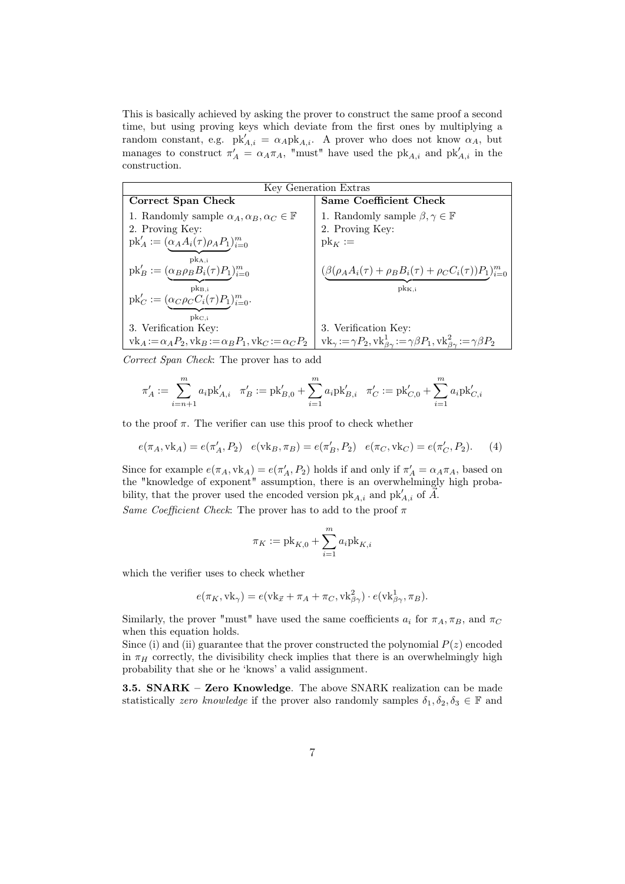This is basically achieved by asking the prover to construct the same proof a second time, but using proving keys which deviate from the first ones by multiplying a random constant, e.g.  $pk'_{A,i} = \alpha_A pk_{A,i}$ . A prover who does not know  $\alpha_A$ , but manages to construct  $\pi'_{A} = \alpha_{A}\pi_{A}$ , "must" have used the pk<sub>A,i</sub> and pk<sub>A,i</sub> in the construction.

| Key Generation Extras                                                                         |                                                                                                                                        |  |
|-----------------------------------------------------------------------------------------------|----------------------------------------------------------------------------------------------------------------------------------------|--|
| Correct Span Check                                                                            | Same Coefficient Check                                                                                                                 |  |
| 1. Randomly sample $\alpha_A, \alpha_B, \alpha_C \in \mathbb{F}$                              | 1. Randomly sample $\beta, \gamma \in \mathbb{F}$                                                                                      |  |
| 2. Proving Key:                                                                               | 2. Proving Key:                                                                                                                        |  |
| $pk'_{A} := (\alpha_A A_i(\tau) \rho_A P_1)_{i=0}^m$                                          | $\mathrm{pk}_{K}:=$                                                                                                                    |  |
| $pk_{A,i}$<br>$pk'_B := (\underbrace{\alpha_B \rho_B B_i(\tau) P_1}_{i=0}^m)_{i=0}^m$         | $(\beta(\rho_A A_i(\tau) + \rho_B B_i(\tau) + \rho_C C_i(\tau))P_1)_{i=0}^m$                                                           |  |
| $pk_{B,i}$<br>$pk'_{C} := (\underbrace{\alpha_{C}\rho_{C}C_{i}(\tau)P_{1}})^{m}_{i=0}.$       | $pk_{K,i}$                                                                                                                             |  |
| $\rm{pk}_{C,i}$                                                                               |                                                                                                                                        |  |
| 3. Verification Key:                                                                          | 3. Verification Key:                                                                                                                   |  |
| $\mathrm{vk}_A := \alpha_A P_2, \mathrm{vk}_B := \alpha_B P_1, \mathrm{vk}_C := \alpha_C P_2$ | $\mathrm{vk}_{\gamma} := \gamma P_2, \mathrm{vk}_{\beta\gamma}^1 := \gamma \beta P_1, \mathrm{vk}_{\beta\gamma}^2 := \gamma \beta P_2$ |  |

Correct Span Check: The prover has to add

$$
\pi'_A:=\sum_{i=n+1}^ma_i\text{pk}'_{A,i}\quad \pi'_B:=\text{pk}'_{B,0}+\sum_{i=1}^ma_i\text{pk}'_{B,i}\quad \pi'_C:=\text{pk}'_{C,0}+\sum_{i=1}^ma_i\text{pk}'_{C,i}
$$

to the proof  $\pi$ . The verifier can use this proof to check whether

$$
e(\pi_A, \text{vk}_A) = e(\pi'_A, P_2) \quad e(\text{vk}_B, \pi_B) = e(\pi'_B, P_2) \quad e(\pi_C, \text{vk}_C) = e(\pi'_C, P_2).
$$
 (4)

Since for example  $e(\pi_A, \text{vk}_A) = e(\pi'_A, P_2)$  holds if and only if  $\pi'_A = \alpha_A \pi_A$ , based on the "knowledge of exponent" assumption, there is an overwhelmingly high probability, that the prover used the encoded version  $\mathrm{pk}_{A,i}$  and  $\mathrm{pk}'_{A,i}$  of  $\vec{A}$ .

Same Coefficient Check: The prover has to add to the proof  $\pi$ 

$$
\pi_K:=\mathsf{pk}_{K,0}+\sum_{i=1}^m a_i \mathsf{pk}_{K,i}
$$

which the verifier uses to check whether

$$
e(\pi_K, \mathbf{vk}_\gamma) = e(\mathbf{vk}_{\vec{x}} + \pi_A + \pi_C, \mathbf{vk}_{\beta\gamma}^2) \cdot e(\mathbf{vk}_{\beta\gamma}^1, \pi_B).
$$

Similarly, the prover "must" have used the same coefficients  $a_i$  for  $\pi_A, \pi_B$ , and  $\pi_C$ when this equation holds.

Since (i) and (ii) guarantee that the prover constructed the polynomial  $P(z)$  encoded in  $\pi_H$  correctly, the divisibility check implies that there is an overwhelmingly high probability that she or he 'knows' a valid assignment.

3.5. SNARK – Zero Knowledge. The above SNARK realization can be made statistically zero knowledge if the prover also randomly samples  $\delta_1, \delta_2, \delta_3 \in \mathbb{F}$  and